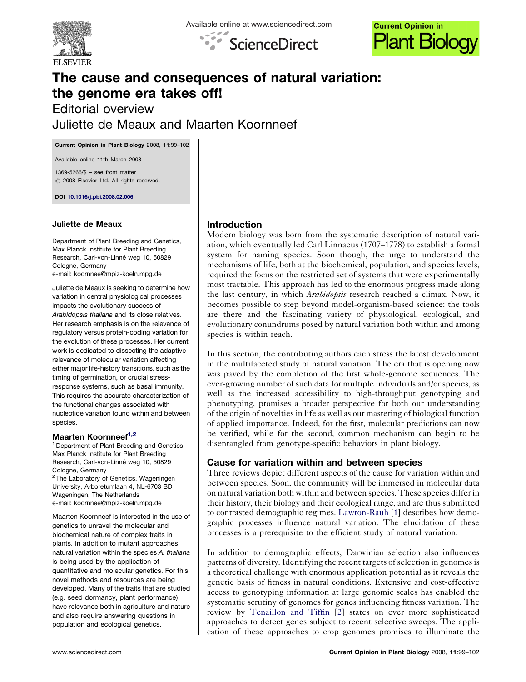





# The cause and consequences of natural variation: the genome era takes off!

Editorial overview

## Juliette de Meaux and Maarten Koornneef

Current Opinion in Plant Biology 2008, 11:99–102

Available online 11th March 2008

1369-5266/\$ – see front matter  $\odot$  2008 Elsevier Ltd. All rights reserved.

DOI [10.1016/j.pbi.2008.02.006](http://dx.doi.org/10.1016/j.pbi.2008.02.006)

#### Juliette de Meaux

Department of Plant Breeding and Genetics, Max Planck Institute for Plant Breeding Research, Carl-von-Linné weg 10, 50829 Cologne, Germany e-mail: koornnee@mpiz-koeln.mpg.de

Juliette de Meaux is seeking to determine how variation in central physiological processes impacts the evolutionary success of Arabidopsis thaliana and its close relatives. Her research emphasis is on the relevance of regulatory versus protein-coding variation for the evolution of these processes. Her current work is dedicated to dissecting the adaptive relevance of molecular variation affecting either major life-history transitions, such as the timing of germination, or crucial stressresponse systems, such as basal immunity. This requires the accurate characterization of the functional changes associated with nucleotide variation found within and between species.

#### Maarten Koornneef<sup>1,2</sup>

<sup>1</sup> Department of Plant Breeding and Genetics, Max Planck Institute for Plant Breeding Research, Carl-von-Linné weg 10, 50829 Cologne, Germany

<sup>2</sup> The Laboratory of Genetics, Wageningen University, Arboretumlaan 4, NL-6703 BD Wageningen, The Netherlands e-mail: koornnee@mpiz-koeln.mpg.de

Maarten Koornneef is interested in the use of genetics to unravel the molecular and biochemical nature of complex traits in plants. In addition to mutant approaches, natural variation within the species A. thaliana is being used by the application of quantitative and molecular genetics. For this, novel methods and resources are being developed. Many of the traits that are studied (e.g. seed dormancy, plant performance) have relevance both in agriculture and nature and also require answering questions in population and ecological genetics.

## Introduction

Modern biology was born from the systematic description of natural variation, which eventually led Carl Linnaeus (1707–1778) to establish a formal system for naming species. Soon though, the urge to understand the mechanisms of life, both at the biochemical, population, and species levels, required the focus on the restricted set of systems that were experimentally most tractable. This approach has led to the enormous progress made along the last century, in which Arabidopsis research reached a climax. Now, it becomes possible to step beyond model-organism-based science: the tools are there and the fascinating variety of physiological, ecological, and evolutionary conundrums posed by natural variation both within and among species is within reach.

In this section, the contributing authors each stress the latest development in the multifaceted study of natural variation. The era that is opening now was paved by the completion of the first whole-genome sequences. The ever-growing number of such data for multiple individuals and/or species, as well as the increased accessibility to high-throughput genotyping and phenotyping, promises a broader perspective for both our understanding of the origin of novelties in life as well as our mastering of biological function of applied importance. Indeed, for the first, molecular predictions can now be verified, while for the second, common mechanism can begin to be disentangled from genotype-specific behaviors in plant biology.

## Cause for variation within and between species

Three reviews depict different aspects of the cause for variation within and between species. Soon, the community will be immersed in molecular data on natural variation both within and between species. These species differ in their history, their biology and their ecological range, and are thus submitted to contrasted demographic regimes. [Lawton-Rauh](http://dx.doi.org/10.1016/j.pbi.2008.02.009) [[1\]](#page-2-0) describes how demographic processes influence natural variation. The elucidation of these processes is a prerequisite to the efficient study of natural variation.

In addition to demographic effects, Darwinian selection also influences patterns of diversity. Identifying the recent targets of selection in genomes is a theoretical challenge with enormous application potential as it reveals the genetic basis of fitness in natural conditions. Extensive and cost-effective access to genotyping information at large genomic scales has enabled the systematic scrutiny of genomes for genes influencing fitness variation. The review by [Tenaillon and Tiffin](http://dx.doi.org/10.1016/j.pbi.2007.12.003) [\[2](#page-2-0)] states on ever more sophisticated approaches to detect genes subject to recent selective sweeps. The application of these approaches to crop genomes promises to illuminate the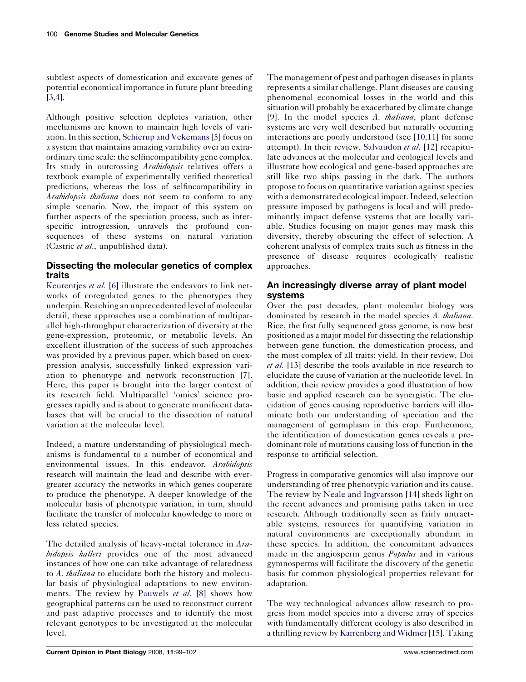subtlest aspects of domestication and excavate genes of potential economical importance in future plant breeding [\[3,4\]](#page-2-0).

Although positive selection depletes variation, other mechanisms are known to maintain high levels of variation. In this section, [Schierup and Vekemans](http://dx.doi.org/10.1016/j.pbi.2008.01.003) [\[5](#page-2-0)] focus on a system that maintains amazing variability over an extraordinary time scale: the selfincompatibility gene complex. Its study in outcrossing Arabidopsis relatives offers a textbook example of experimentally verified theoretical predictions, whereas the loss of selfincompatibility in Arabidopsis thaliana does not seem to conform to any simple scenario. Now, the impact of this system on further aspects of the speciation process, such as interspecific introgression, unravels the profound consequences of these systems on natural variation (Castric et al., unpublished data).

### Dissecting the molecular genetics of complex traits

[Keurentjes](http://dx.doi.org/10.1016/j.pbi.2008.01.006) et al. [\[6](#page-2-0)] illustrate the endeavors to link networks of coregulated genes to the phenotypes they underpin. Reaching an unprecedented level of molecular detail, these approaches use a combination of multiparallel high-throughput characterization of diversity at the gene-expression, proteomic, or metabolic levels. An excellent illustration of the success of such approaches was provided by a previous paper, which based on coexpression analysis, successfully linked expression variation to phenotype and network reconstruction [[7](#page-2-0)]. Here, this paper is brought into the larger context of its research field. Multiparallel 'omics' science progresses rapidly and is about to generate munificent databases that will be crucial to the dissection of natural variation at the molecular level.

Indeed, a mature understanding of physiological mechanisms is fundamental to a number of economical and environmental issues. In this endeavor, Arabidopsis research will maintain the lead and describe with evergreater accuracy the networks in which genes cooperate to produce the phenotype. A deeper knowledge of the molecular basis of phenotypic variation, in turn, should facilitate the transfer of molecular knowledge to more or less related species.

The detailed analysis of heavy-metal tolerance in Arabidopsis halleri provides one of the most advanced instances of how one can take advantage of relatedness to A. thaliana to elucidate both the history and molecular basis of physiological adaptations to new environ-ments. The review by [Pauwels](http://dx.doi.org/10.1016/j.pbi.2008.01.005) *et al.* [[8\]](#page-2-0) shows how geographical patterns can be used to reconstruct current and past adaptive processes and to identify the most relevant genotypes to be investigated at the molecular level.

The management of pest and pathogen diseases in plants represents a similar challenge. Plant diseases are causing phenomenal economical losses in the world and this situation will probably be exacerbated by climate change [[9\]](#page-2-0). In the model species A. thaliana, plant defense systems are very well described but naturally occurring interactions are poorly understood (see [[10,11](#page-2-0)] for some attempt). In their review, [Salvaudon](http://dx.doi.org/10.1016/j.pbi.2008.02.002) et al. [[12\]](#page-2-0) recapitulate advances at the molecular and ecological levels and illustrate how ecological and gene-based approaches are still like two ships passing in the dark. The authors propose to focus on quantitative variation against species with a demonstrated ecological impact. Indeed, selection pressure imposed by pathogens is local and will predominantly impact defense systems that are locally variable. Studies focusing on major genes may mask this diversity, thereby obscuring the effect of selection. A coherent analysis of complex traits such as fitness in the presence of disease requires ecologically realistic approaches.

### An increasingly diverse array of plant model systems

Over the past decades, plant molecular biology was dominated by research in the model species A. *thaliana*. Rice, the first fully sequenced grass genome, is now best positioned as a major model for dissecting the relationship between gene function, the domestication process, and the most complex of all traits: yield. In their review, [Doi](http://dx.doi.org/10.1016/j.pbi.2008.01.008) [et al.](http://dx.doi.org/10.1016/j.pbi.2008.01.008) [[13\]](#page-2-0) describe the tools available in rice research to elucidate the cause of variation at the nucleotide level. In addition, their review provides a good illustration of how basic and applied research can be synergistic. The elucidation of genes causing reproductive barriers will illuminate both our understanding of speciation and the management of germplasm in this crop. Furthermore, the identification of domestication genes reveals a predominant role of mutations causing loss of function in the response to artificial selection.

Progress in comparative genomics will also improve our understanding of tree phenotypic variation and its cause. The review by [Neale and Ingvarsson](http://dx.doi.org/10.1016/j.pbi.2007.12.004) [[14\]](#page-2-0) sheds light on the recent advances and promising paths taken in tree research. Although traditionally seen as fairly untractable systems, resources for quantifying variation in natural environments are exceptionally abundant in these species. In addition, the concomitant advances made in the angiosperm genus *Populus* and in various gymnosperms will facilitate the discovery of the genetic basis for common physiological properties relevant for adaptation.

The way technological advances allow research to progress from model species into a diverse array of species with fundamentally different ecology is also described in a thrilling review by [Karrenberg and Widmer](http://dx.doi.org/10.1016/j.pbi.2008.01.004) [[15\]](#page-3-0). Taking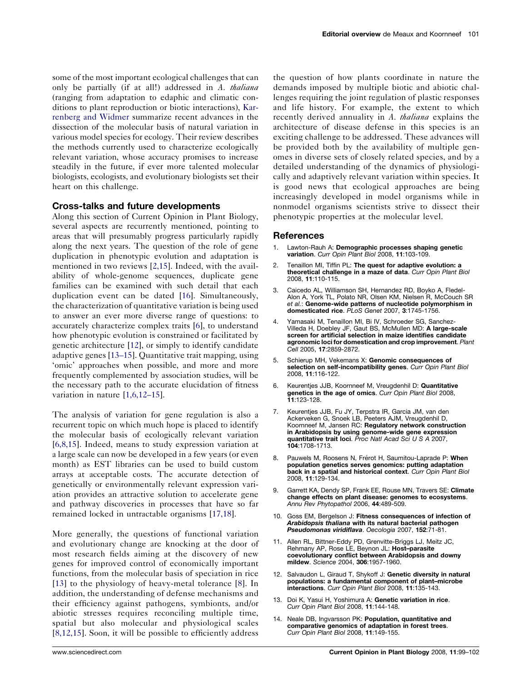<span id="page-2-0"></span>some of the most important ecological challenges that can only be partially (if at all!) addressed in A. thaliana (ranging from adaptation to edaphic and climatic conditions to plant reproduction or biotic interactions), [Kar](http://dx.doi.org/10.1016/j.pbi.2008.01.004)[renberg and Widmer](http://dx.doi.org/10.1016/j.pbi.2008.01.004) summarize recent advances in the dissection of the molecular basis of natural variation in various model species for ecology. Their review describes the methods currently used to characterize ecologically relevant variation, whose accuracy promises to increase steadily in the future, if ever more talented molecular biologists, ecologists, and evolutionary biologists set their heart on this challenge.

#### Cross-talks and future developments

Along this section of Current Opinion in Plant Biology, several aspects are recurrently mentioned, pointing to areas that will presumably progress particularly rapidly along the next years. The question of the role of gene duplication in phenotypic evolution and adaptation is mentioned in two reviews [2,15]. Indeed, with the availability of whole-genome sequences, duplicate gene families can be examined with such detail that each duplication event can be dated [[16\]](#page-3-0). Simultaneously, the characterization of quantitative variation is being used to answer an ever more diverse range of questions: to accurately characterize complex traits [6], to understand how phenotypic evolution is constrained or facilitated by genetic architecture [12], or simply to identify candidate adaptive genes [13–15]. Quantitative trait mapping, using 'omic' approaches when possible, and more and more frequently complemented by association studies, will be the necessary path to the accurate elucidation of fitness variation in nature [1,6,12–15].

The analysis of variation for gene regulation is also a recurrent topic on which much hope is placed to identify the molecular basis of ecologically relevant variation [6,8,15]. Indeed, means to study expression variation at a large scale can now be developed in a few years (or even month) as EST libraries can be used to build custom arrays at acceptable costs. The accurate detection of genetically or environmentally relevant expression variation provides an attractive solution to accelerate gene and pathway discoveries in processes that have so far remained locked in untractable organisms [\[17,18\]](#page-3-0).

More generally, the questions of functional variation and evolutionary change are knocking at the door of most research fields aiming at the discovery of new genes for improved control of economically important functions, from the molecular basis of speciation in rice [13] to the physiology of heavy-metal tolerance [8]. In addition, the understanding of defense mechanisms and their efficiency against pathogens, symbionts, and/or abiotic stresses requires reconciling multiple time, spatial but also molecular and physiological scales [8,12,15]. Soon, it will be possible to efficiently address

the question of how plants coordinate in nature the demands imposed by multiple biotic and abiotic challenges requiring the joint regulation of plastic responses and life history. For example, the extent to which recently derived annuality in A. *thaliana* explains the architecture of disease defense in this species is an exciting challenge to be addressed. These advances will be provided both by the availability of multiple genomes in diverse sets of closely related species, and by a detailed understanding of the dynamics of physiologically and adaptively relevant variation within species. It is good news that ecological approaches are being increasingly developed in model organisms while in nonmodel organisms scientists strive to dissect their phenotypic properties at the molecular level.

#### References

- 1. Lawton-Rauh A: Demographic processes shaping genetic variation. Curr Opin Plant Biol 2008, 11:103-109.
- 2. Tenaillon MI, Tiffin PL: The quest for adaptive evolution: a theoretical challenge in a maze of data. Curr Opin Plant Biol 2008, 11:110-115.
- 3. Caicedo AL, Williamson SH, Hernandez RD, Boyko A, Fledel-Alon A, York TL, Polato NR, Olsen KM, Nielsen R, McCouch SR et al.: Genome-wide patterns of nucleotide polymorphism in domesticated rice. PLoS Genet 2007, 3:1745-1756.
- Yamasaki M, Tenaillon MI, Bi IV, Schroeder SG, Sanchez-Villeda H, Doebley JF, Gaut BS, McMullen MD: A large-scale screen for artificial selection in maize identifies candidate agronomic loci for domestication and crop improvement. Plant Cell 2005, 17:2859-2872.
- 5. Schierup MH, Vekemans X: Genomic consequences of selection on self-incompatibility genes. Curr Opin Plant Biol 2008, 11:116-122.
- 6. Keurentjes JJB, Koornneef M, Vreugdenhil D: Quantitative genetics in the age of omics. Curr Opin Plant Biol 2008,<br>11:123-128.
- 7. Keurentjes JJB, Fu JY, Terpstra IR, Garcia JM, van den Ackerveken G, Snoek LB, Peeters AJM, Vreugdenhil D, Koornneef M, Jansen RC: Regulatory network construction in Arabidopsis by using genome-wide gene expression quantitative trait loci. Proc Natl Acad Sci U S A 2007, 104:1708-1713.
- 8. Pauwels M, Roosens N, Frérot H, Saumitou-Laprade P: When population genetics serves genomics: putting adaptation back in a spatial and historical context. Curr Opin Plant Biol 2008, 11:129-134.
- Garrett KA, Dendy SP, Frank EE, Rouse MN, Travers SE: Climate change effects on plant disease: genomes to ecosystems. Annu Rev Phytopathol 2006, 44:489-509.
- 10. Goss EM, Bergelson J: Fitness consequences of infection of Arabidopsis thaliana with its natural bacterial pathogen Pseudomonas viridiflava. Oecologia 2007, 152:71-81.
- 11. Allen RL, Bittner-Eddy PD, Grenvitte-Briggs LJ, Meitz JC,<br>Rehmany AP, Rose LE, Beynon JL: **Host-parasite** coevolutionary conflict between Arabidopsis and downy mildew. Science 2004, 306:1957-1960.
- 12. Salvaudon L, Giraud T, Shykoff J: Genetic diversity in natural populations: a fundamental component of plant–microbe interactions. Curr Opin Plant Biol 2008, 11:135-143.
- 13. Doi K, Yasui H, Yoshimura A: Genetic variation in rice. Curr Opin Plant Biol 2008, 11:144-148.
- 14. Neale DB, Ingvarsson PK: Population, quantitative and comparative genomics of adaptation in forest trees. Curr Opin Plant Biol 2008, 11:149-155.